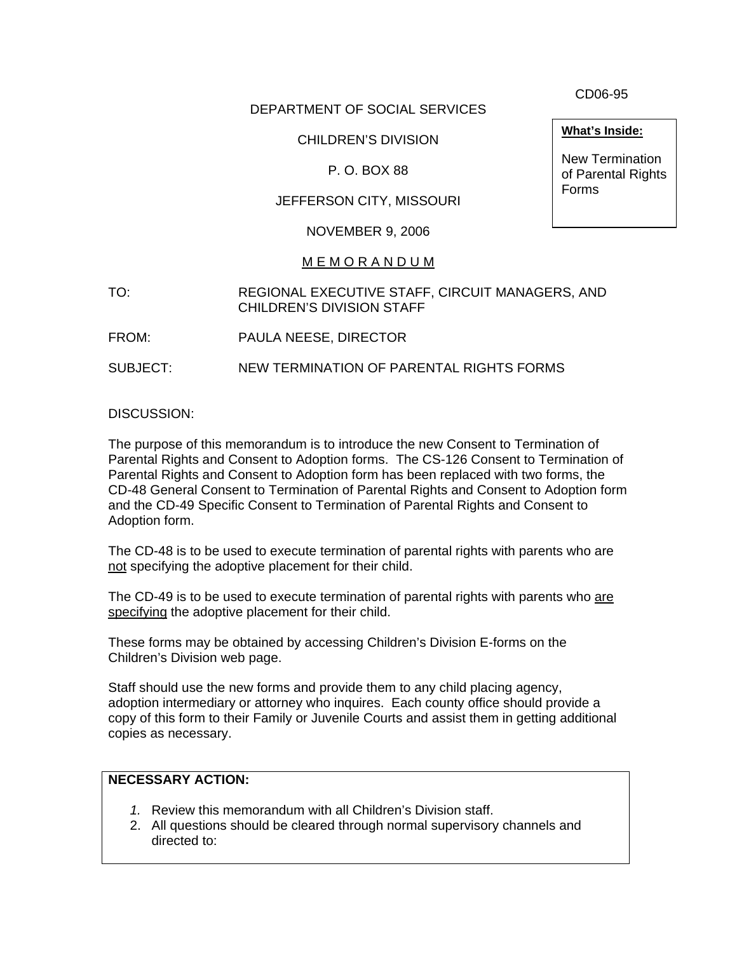DEPARTMENT OF SOCIAL SERVICES

# CHILDREN'S DIVISION

## P. O. BOX 88

# JEFFERSON CITY, MISSOURI

#### NOVEMBER 9, 2006

## M E M O R A N D U M

- TO: REGIONAL EXECUTIVE STAFF, CIRCUIT MANAGERS, AND CHILDREN'S DIVISION STAFF
- FROM: PAULA NEESE, DIRECTOR

SUBJECT: NEW TERMINATION OF PARENTAL RIGHTS FORMS

DISCUSSION:

The purpose of this memorandum is to introduce the new Consent to Termination of Parental Rights and Consent to Adoption forms. The CS-126 Consent to Termination of Parental Rights and Consent to Adoption form has been replaced with two forms, the CD-48 General Consent to Termination of Parental Rights and Consent to Adoption form and the CD-49 Specific Consent to Termination of Parental Rights and Consent to Adoption form.

The CD-48 is to be used to execute termination of parental rights with parents who are not specifying the adoptive placement for their child.

The CD-49 is to be used to execute termination of parental rights with parents who are specifying the adoptive placement for their child.

These forms may be obtained by accessing Children's Division E-forms on the Children's Division web page.

Staff should use the new forms and provide them to any child placing agency, adoption intermediary or attorney who inquires. Each county office should provide a copy of this form to their Family or Juvenile Courts and assist them in getting additional copies as necessary.

#### **NECESSARY ACTION:**

- *1.* Review this memorandum with all Children's Division staff.
- 2. All questions should be cleared through normal supervisory channels and directed to:

CD06-95

**What's Inside:**

New Termination of Parental Rights Forms